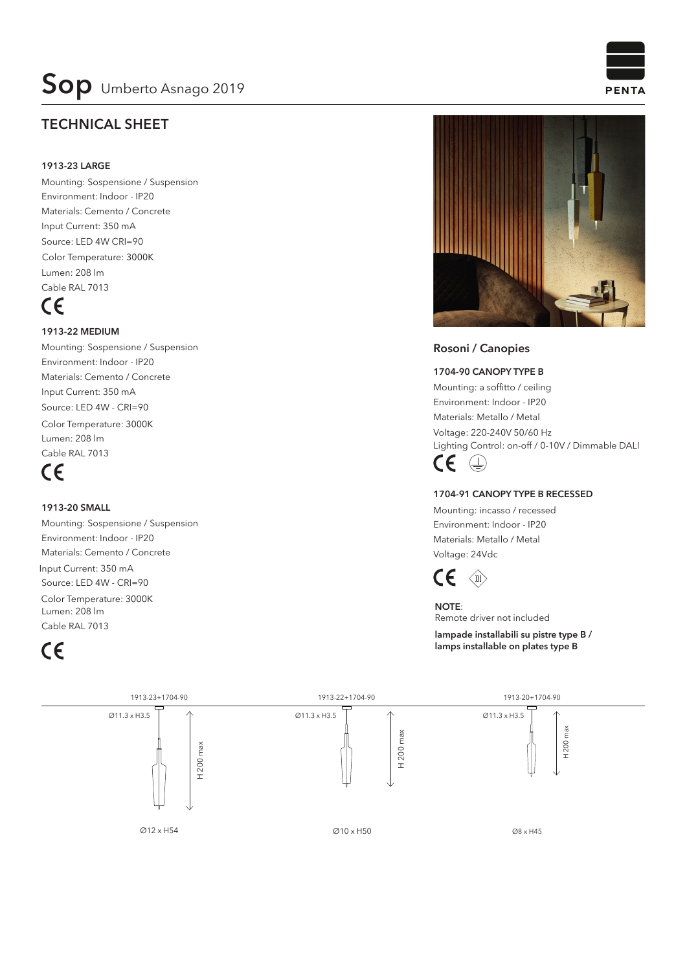### **TECHNICAL SHEET**

#### **1913-23 LARGE**

Mounting: Sospensione / Suspension Environment: Indoor - IP20 Materials: Cemento / Concrete Input Current: 350 mA Source: LED 4W CRI=90 Lumen: 208 lm Cable RAL 7013 Color Temperature: 3000K

## $\epsilon$

#### **1913-22 MEDIUM**

Mounting: Sospensione / Suspension Environment: Indoor - IP20 Materials: Cemento / Concrete Lumen: 208 lm Input Current: 350 mA Source: LED 4W - CRI=90 Cable RAL 7013 Color Temperature: 3000K

### $\epsilon$

#### **1913-20 SMALL**

Mounting: Sospensione / Suspension Environment: Indoor - IP20 Materials: Cemento / Concrete Lumen: 208 lm Input Current: 350 mA Source: LED 4W - CRI=90 Cable RAL 7013 Color Temperature: 3000K

## $\epsilon$



#### **Rosoni / Canopies**

**1704-90 CANOPY TYPE B**

Mounting: a soffitto / ceiling Environment: Indoor - IP20 Materials: Metallo / Metal Voltage: 220-240V 50/60 Hz Lighting Control: on-off / 0-10V / Dimmable DALI



#### **1704-91 CANOPY TYPE B RECESSED**

Mounting: incasso / recessed Environment: Indoor - IP20 Materials: Metallo / Metal Voltage: 24Vdc



**NOTE**: Remote driver not included **lampade installabili su pistre type B /**

**lamps installable on plates type B**



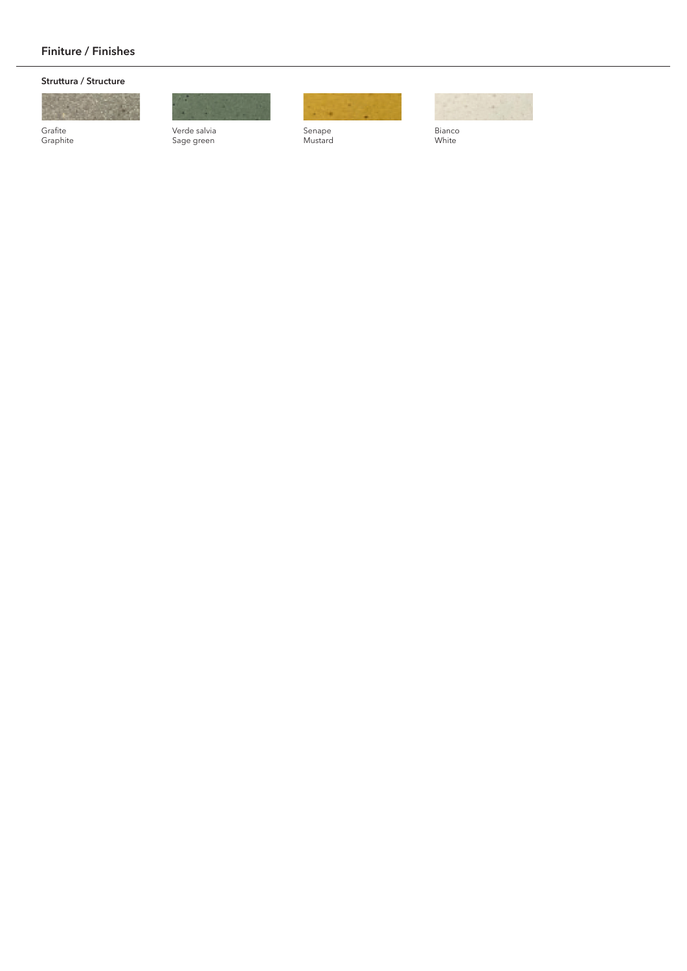#### **Finiture / Finishes**

#### **Struttura / Structure**



Grafite Graphite

Verde salvia Sage green



Senape Mustard



Bianco White